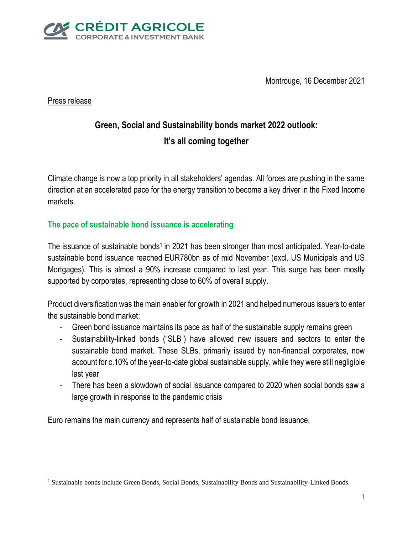

Montrouge, 16 December 2021

Press release

 $\overline{a}$ 

# **Green, Social and Sustainability bonds market 2022 outlook: It's all coming together**

Climate change is now a top priority in all stakeholders' agendas. All forces are pushing in the same direction at an accelerated pace for the energy transition to become a key driver in the Fixed Income markets.

## **The pace of sustainable bond issuance is accelerating**

The issuance of sustainable bonds<sup>1</sup> in 2021 has been stronger than most anticipated. Year-to-date sustainable bond issuance reached EUR780bn as of mid November (excl. US Municipals and US Mortgages). This is almost a 90% increase compared to last year. This surge has been mostly supported by corporates, representing close to 60% of overall supply.

Product diversification was the main enabler for growth in 2021 and helped numerous issuers to enter the sustainable bond market:

- Green bond issuance maintains its pace as half of the sustainable supply remains green
- Sustainability-linked bonds ("SLB") have allowed new issuers and sectors to enter the sustainable bond market. These SLBs, primarily issued by non-financial corporates, now account for c.10% of the year-to-date global sustainable supply, while they were still negligible last year
- There has been a slowdown of social issuance compared to 2020 when social bonds saw a large growth in response to the pandemic crisis

Euro remains the main currency and represents half of sustainable bond issuance.

<sup>&</sup>lt;sup>1</sup> Sustainable bonds include Green Bonds, Social Bonds, Sustainability Bonds and Sustainability-Linked Bonds.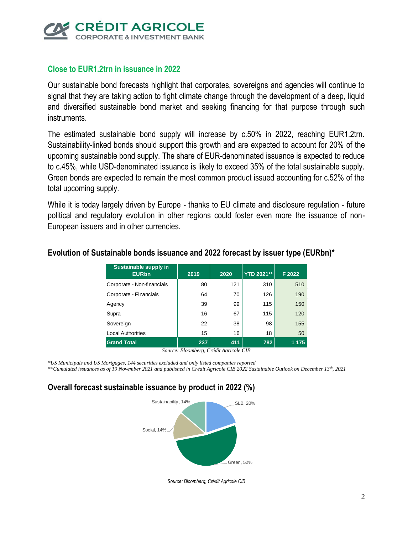

### **Close to EUR1.2trn in issuance in 2022**

Our sustainable bond forecasts highlight that corporates, sovereigns and agencies will continue to signal that they are taking action to fight climate change through the development of a deep, liquid and diversified sustainable bond market and seeking financing for that purpose through such instruments.

The estimated sustainable bond supply will increase by c.50% in 2022, reaching EUR1.2trn. Sustainability-linked bonds should support this growth and are expected to account for 20% of the upcoming sustainable bond supply. The share of EUR-denominated issuance is expected to reduce to c.45%, while USD-denominated issuance is likely to exceed 35% of the total sustainable supply. Green bonds are expected to remain the most common product issued accounting for c.52% of the total upcoming supply.

While it is today largely driven by Europe - thanks to EU climate and disclosure regulation - future political and regulatory evolution in other regions could foster even more the issuance of non-European issuers and in other currencies.

| Sustainable supply in<br><b>EURbn</b> | 2019 | 2020 | <b>YTD 2021**</b> | F 2022  |
|---------------------------------------|------|------|-------------------|---------|
| Corporate - Non-financials            | 80   | 121  | 310               | 510     |
| Corporate - Financials                | 64   | 70   | 126               | 190     |
| Agency                                | 39   | 99   | 115               | 150     |
| Supra                                 | 16   | 67   | 115               | 120     |
| Sovereign                             | 22   | 38   | 98                | 155     |
| <b>Local Authorities</b>              | 15   | 16   | 18                | 50      |
| <b>Grand Total</b>                    | 237  | 411  | 782               | 1 1 7 5 |

#### **Evolution of Sustainable bonds issuance and 2022 forecast by issuer type (EURbn)\***

*Source: Bloomberg, Crédit Agricole CIB*

*\*US Municipals and US Mortgages, 144 securities excluded and only listed companies reported \*\*Cumulated issuances as of 19 November 2021 and published in Crédit Agricole CIB 2022 Sustainable Outlook on December 13th, 2021*

#### **Overall forecast sustainable issuance by product in 2022 (%)**



*Source: Bloomberg, Crédit Agricole CIB*